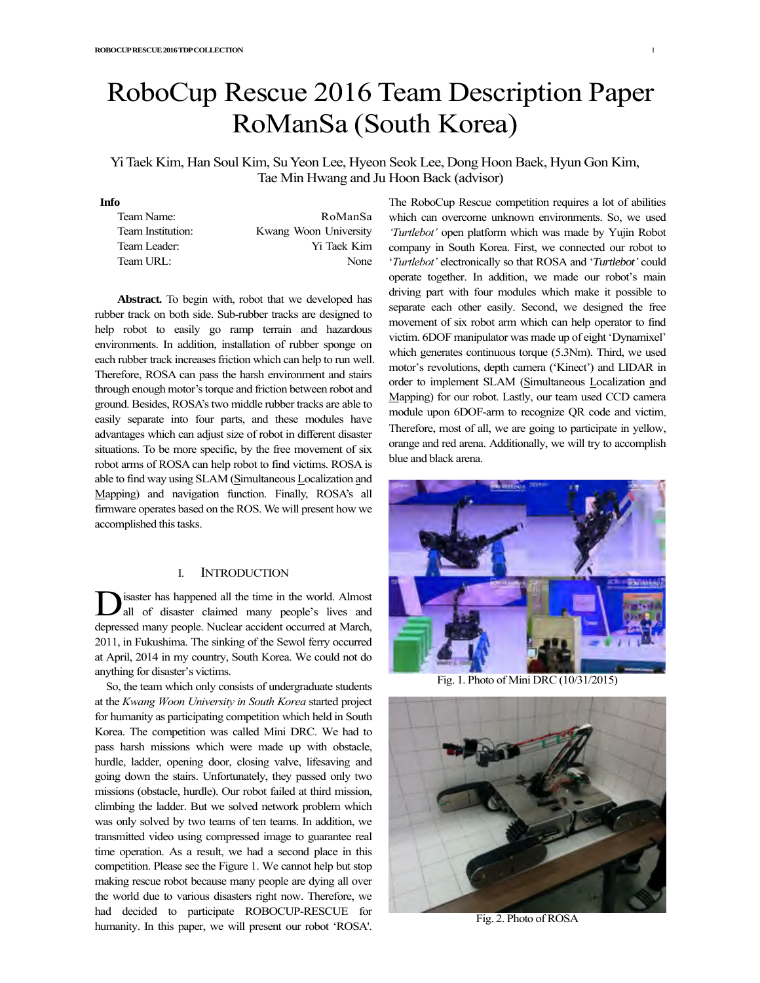# RoboCup Rescue 2016 Team Description Paper RoManSa (South Korea)

Yi Taek Kim, Han Soul Kim, Su Yeon Lee, Hyeon Seok Lee, Dong Hoon Baek, Hyun Gon Kim, Tae Min Hwang and Ju Hoon Back (advisor)

# **Info**

| Team Name:        | RoManSa               |
|-------------------|-----------------------|
| Team Institution: | Kwang Woon University |
| Team Leader:      | Yi Taek Kim           |
| Team URL:         | None                  |

**Abstract.** To begin with, robot that we developed has rubber track on both side. Sub-rubber tracks are designed to help robot to easily go ramp terrain and hazardous environments. In addition, installation of rubber sponge on each rubber track increases friction which can help to run well. Therefore, ROSA can pass the harsh environment and stairs through enough motor's torque and friction between robot and ground. Besides, ROSA's two middle rubber tracks are able to easily separate into four parts, and these modules have advantages which can adjust size of robot in different disaster situations. To be more specific, by the free movement of six robot arms of ROSA can help robot to find victims. ROSA is able to find way using SLAM (Simultaneous Localization and Mapping) and navigation function. Finally, ROSA's all firmware operates based on the ROS. We will present how we accomplished this tasks.

# I. INTRODUCTION

isaster has happened all the time in the world. Almost all of disaster claimed many people's lives and depressed many people. Nuclear accident occurred at March, 2011, in Fukushima. The sinking of the Sewol ferry occurred at April, 2014 in my country, South Korea. We could not do anything for disaster's victims. D

So, the team which only consists of undergraduate students at the *Kwang Woon University in South Korea* started project for humanity as participating competition which held in South Korea. The competition was called Mini DRC. We had to pass harsh missions which were made up with obstacle, hurdle, ladder, opening door, closing valve, lifesaving and going down the stairs. Unfortunately, they passed only two missions (obstacle, hurdle). Our robot failed at third mission, climbing the ladder. But we solved network problem which was only solved by two teams of ten teams. In addition, we transmitted video using compressed image to guarantee real time operation. As a result, we had a second place in this competition. Please see the Figure 1. We cannot help but stop making rescue robot because many people are dying all over the world due to various disasters right now. Therefore, we had decided to participate ROBOCUP-RESCUE for humanity. In this paper, we will present our robot 'ROSA'.

The RoboCup Rescue competition requires a lot of abilities which can overcome unknown environments. So, we used *'Turtlebot'* open platform which was made by Yujin Robot company in South Korea. First, we connected our robot to '*Turtlebot'* electronically so that ROSA and '*Turtlebot'* could operate together. In addition, we made our robot's main driving part with four modules which make it possible to separate each other easily. Second, we designed the free movement of six robot arm which can help operator to find victim. 6DOF manipulator was made up of eight 'Dynamixel' which generates continuous torque (5.3Nm). Third, we used motor's revolutions, depth camera ('Kinect') and LIDAR in order to implement SLAM (Simultaneous Localization and Mapping) for our robot. Lastly, our team used CCD camera module upon 6DOF-arm to recognize QR code and victim Therefore, most of all, we are going to participate in yellow, orange and red arena. Additionally, we will try to accomplish blue and black arena.



Fig. 1. Photo of Mini DRC (10/31/2015)



Fig. 2. Photo of ROSA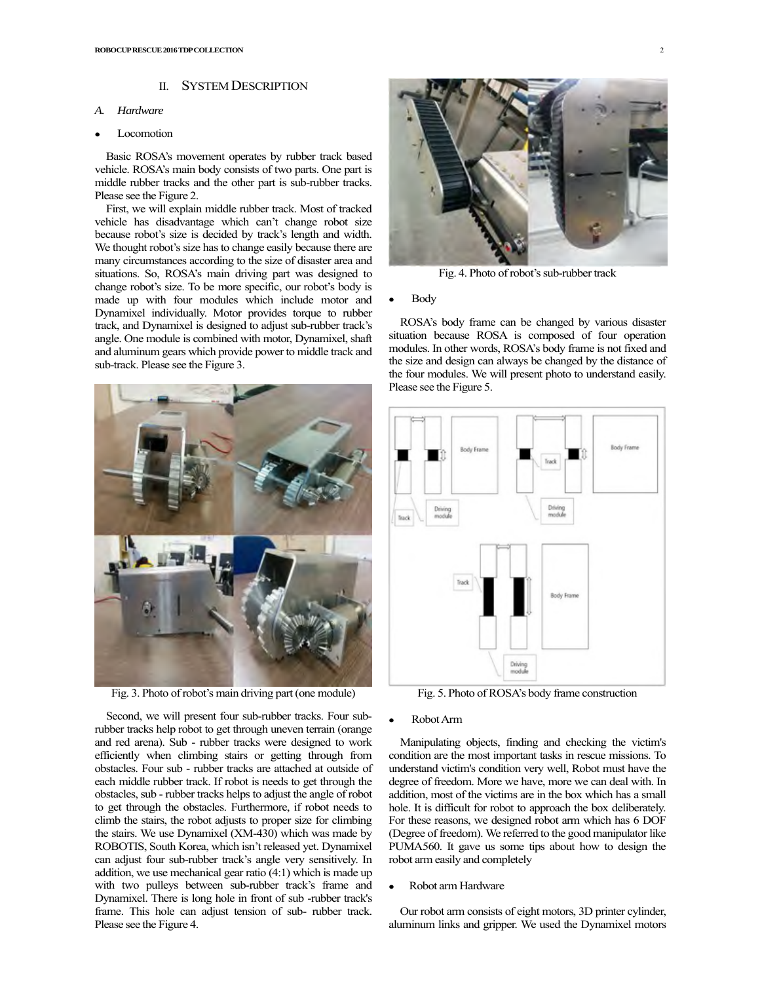## II. SYSTEM DESCRIPTION

## *A. Hardware*

#### Locomotion

Basic ROSA's movement operates by rubber track based vehicle. ROSA's main body consists of two parts. One part is middle rubber tracks and the other part is sub-rubber tracks. Please see the Figure 2.

First, we will explain middle rubber track. Most of tracked vehicle has disadvantage which can't change robot size because robot's size is decided by track's length and width. We thought robot's size has to change easily because there are many circumstances according to the size of disaster area and situations. So, ROSA's main driving part was designed to change robot's size. To be more specific, our robot's body is made up with four modules which include motor and Dynamixel individually. Motor provides torque to rubber track, and Dynamixel is designed to adjust sub-rubber track's angle. One module is combined with motor, Dynamixel, shaft and aluminum gears which provide power to middle track and sub-track. Please see the Figure 3.



Fig. 3. Photo of robot's main driving part(one module)

Second, we will present four sub-rubber tracks. Four subrubber tracks help robot to get through uneven terrain (orange and red arena). Sub - rubber tracks were designed to work efficiently when climbing stairs or getting through from obstacles. Four sub - rubber tracks are attached at outside of each middle rubber track. If robot is needs to get through the obstacles, sub - rubber tracks helps to adjust the angle of robot to get through the obstacles. Furthermore, if robot needs to climb the stairs, the robot adjusts to proper size for climbing the stairs. We use Dynamixel (XM-430) which was made by ROBOTIS, South Korea, which isn't released yet. Dynamixel can adjust four sub-rubber track's angle very sensitively. In addition, we use mechanical gear ratio (4:1) which is made up with two pulleys between sub-rubber track's frame and Dynamixel. There is long hole in front of sub -rubber track's frame. This hole can adjust tension of sub- rubber track. Please see the Figure 4.



Fig. 4. Photo of robot's sub-rubber track

# **Body**

ROSA's body frame can be changed by various disaster situation because ROSA is composed of four operation modules. In other words, ROSA's body frame is not fixed and the size and design can always be changed by the distance of the four modules. We will present photo to understand easily. Please see the Figure 5.



Fig. 5. Photo of ROSA's body frame construction

#### Robot Arm

Manipulating objects, finding and checking the victim's condition are the most important tasks in rescue missions. To understand victim's condition very well, Robot must have the degree of freedom. More we have, more we can deal with. In addition, most of the victims are in the box which has a small hole. It is difficult for robot to approach the box deliberately. For these reasons, we designed robot arm which has 6 DOF (Degree of freedom). We referred to the good manipulator like PUMA560. It gave us some tips about how to design the robot arm easily and completely

# • Robot arm Hardware

Our robot arm consists of eight motors, 3D printer cylinder, aluminum links and gripper. We used the Dynamixel motors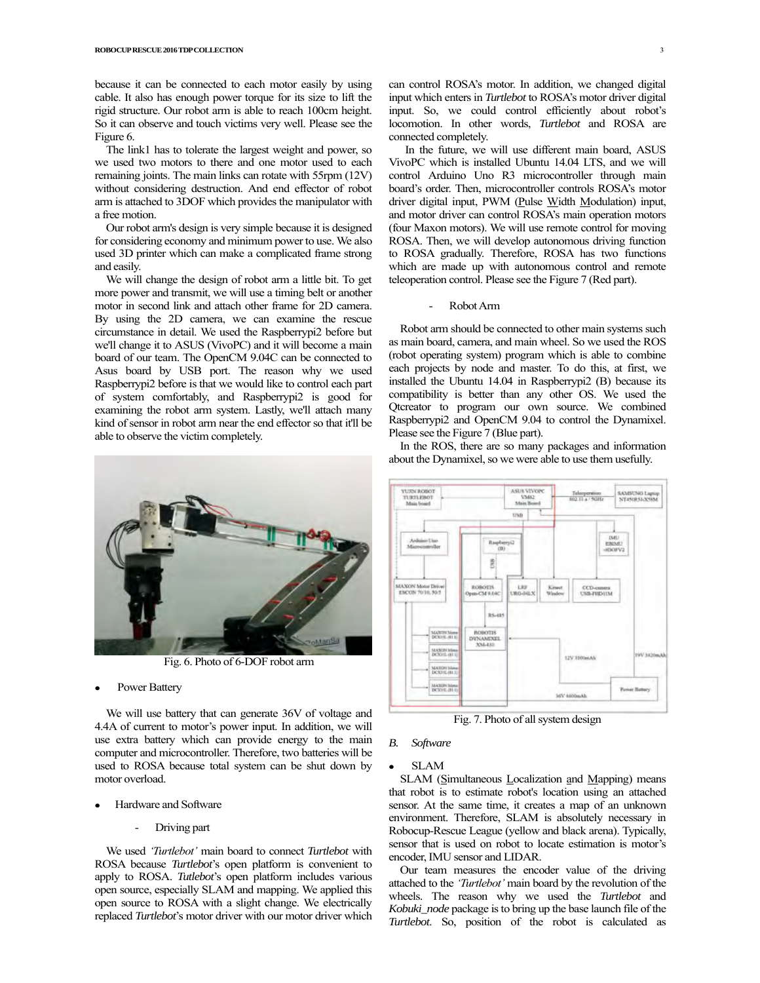because it can be connected to each motor easily by using cable. It also has enough power torque for its size to lift the rigid structure. Our robot arm is able to reach 100cm height. So it can observe and touch victims very well. Please see the Figure 6.

The link1 has to tolerate the largest weight and power, so we used two motors to there and one motor used to each remaining joints. The main links can rotate with 55rpm (12V) without considering destruction. And end effector of robot arm is attached to 3DOF which provides the manipulator with a free motion.

Our robot arm's design is very simple because it is designed for considering economy and minimum power to use. We also used 3D printer which can make a complicated frame strong and easily.

We will change the design of robot arm a little bit. To get more power and transmit, we will use a timing belt or another motor in second link and attach other frame for 2D camera. By using the 2D camera, we can examine the rescue circumstance in detail. We used the Raspberrypi2 before but we'll change it to ASUS (VivoPC) and it will become a main board of our team. The OpenCM 9.04C can be connected to Asus board by USB port. The reason why we used Raspberrypi2 before is that we would like to control each part of system comfortably, and Raspberrypi2 is good for examining the robot arm system. Lastly, we'll attach many kind of sensor in robot arm near the end effector so that it'll be able to observe the victim completely.



Fig. 6. Photo of 6-DOF robot arm

Power Battery

We will use battery that can generate 36V of voltage and 4.4A of current to motor's power input. In addition, we will use extra battery which can provide energy to the main computer and microcontroller. Therefore, two batteries will be used to ROSA because total system can be shut down by motor overload.

- Hardware and Software
	- Driving part

We used *'Turtlebot'* main board to connect *Turtlebot* with ROSA because *Turtlebot*'s open platform is convenient to apply to ROSA. *Tutlebot*'s open platform includes various open source, especially SLAM and mapping. We applied this open source to ROSA with a slight change. We electrically replaced *Turtlebot*'s motor driver with our motor driver which

can control ROSA's motor. In addition, we changed digital input which enters in *Turtlebot* to ROSA's motor driver digital input. So, we could control efficiently about robot's locomotion. In other words, *Turtlebot* and ROSA are connected completely.

In the future, we will use different main board, ASUS VivoPC which is installed Ubuntu 14.04 LTS, and we will control Arduino Uno R3 microcontroller through main board's order. Then, microcontroller controls ROSA's motor driver digital input, PWM (Pulse Width Modulation) input, and motor driver can control ROSA's main operation motors (four Maxon motors). We will use remote control for moving ROSA. Then, we will develop autonomous driving function to ROSA gradually. Therefore, ROSA has two functions which are made up with autonomous control and remote teleoperation control. Please see the Figure 7 (Red part).

Robot Arm

Robot arm should be connected to other main systems such as main board, camera, and main wheel. So we used the ROS (robot operating system) program which is able to combine each projects by node and master. To do this, at first, we installed the Ubuntu 14.04 in Raspberrypi2 (B) because its compatibility is better than any other OS. We used the Qtcreator to program our own source. We combined Raspberrypi2 and OpenCM 9.04 to control the Dynamixel. Please see the Figure 7 (Blue part).

In the ROS, there are so many packages and information about the Dynamixel, so we were able to use them usefully.



Fig. 7. Photo of all system design

#### *B. Software*

## **SLAM**

SLAM (Simultaneous Localization and Mapping) means that robot is to estimate robot's location using an attached sensor. At the same time, it creates a map of an unknown environment. Therefore, SLAM is absolutely necessary in Robocup-Rescue League (yellow and black arena). Typically, sensor that is used on robot to locate estimation is motor's encoder, IMU sensor and LIDAR.

Our team measures the encoder value of the driving attached to the *'Turtlebot'* main board by the revolution of the wheels. The reason why we used the *Turtlebot* and *Kobuki\_node* package is to bring up the base launch file of the *Turtlebot*. So, position of the robot is calculated as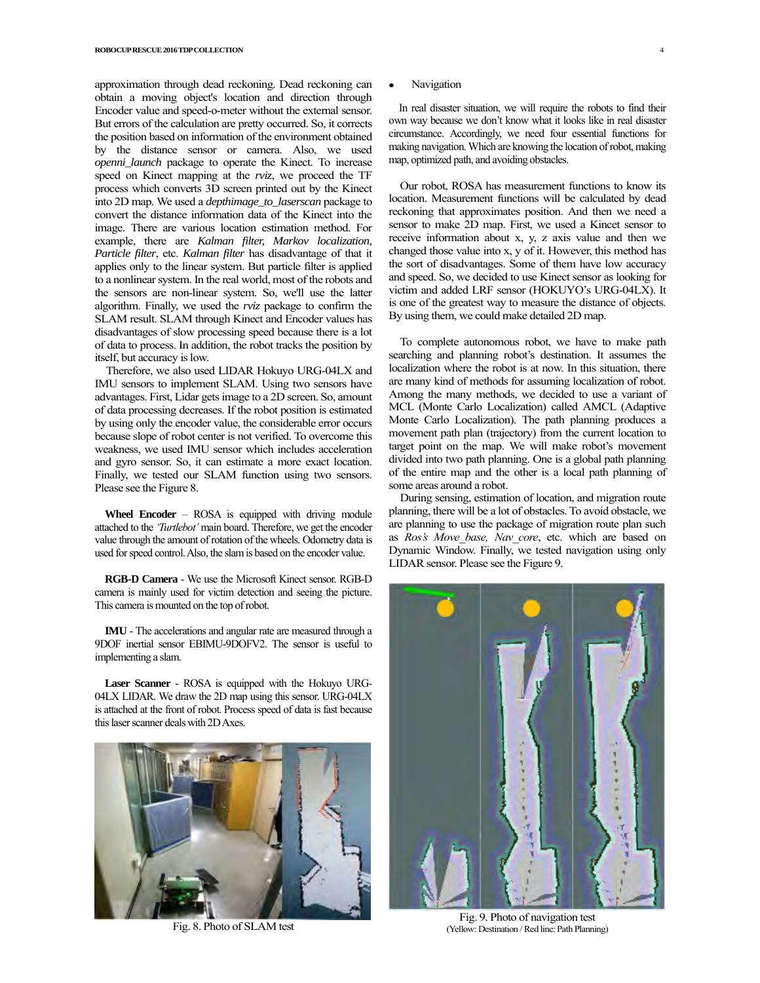approximation through dead reckoning. Dead reckoning can obtain a moving object's location and direction through Encoder value and speed-o-meter without the external sensor. But errors of the calculation are pretty occurred. So, it corrects the position based on information of the environment obtained by the distance sensor or camera. Also, we used *openni\_launch* package to operate the Kinect. To increase speed on Kinect mapping at the *rviz*, we proceed the TF process which converts 3D screen printed out by the Kinect into 2D map. We used a *depthimage\_to\_laserscan* package to convert the distance information data of the Kinect into the image. There are various location estimation method. For example, there are *Kalman filter, Markov localization, Particle filter*, etc. *Kalman filter* has disadvantage of that it applies only to the linear system. But particle filter is applied to a nonlinear system. In the real world, most of the robots and the sensors are non-linear system. So, we'll use the latter algorithm. Finally, we used the *rviz* package to confirm the SLAM result. SLAM through Kinect and Encoder values has disadvantages of slow processing speed because there is a lot of data to process. In addition, the robot tracks the position by itself, but accuracy is low.

Therefore, we also used LIDAR Hokuyo URG-04LX and IMU sensors to implement SLAM. Using two sensors have advantages. First, Lidar gets image to a 2D screen. So, amount of data processing decreases. If the robot position is estimated by using only the encoder value, the considerable error occurs because slope of robot center is not verified. To overcome this weakness, we used IMU sensor which includes acceleration and gyro sensor. So, it can estimate a more exact location. Finally, we tested our SLAM function using two sensors. Please see the Figure 8.

**Wheel Encoder** – ROSA is equipped with driving module attached to the *'Turtlebot'* main board. Therefore, we get the encoder value through the amount of rotation of the wheels. Odometry data is used for speed control. Also, the slam is based on the encoder value.

**RGB-D Camera** - We use the Microsoft Kinect sensor. RGB-D camera is mainly used for victim detection and seeing the picture. This camera is mounted on the top of robot.

**IMU** - The accelerations and angular rate are measured through a 9DOF inertial sensor EBIMU-9DOFV2. The sensor is useful to implementing a slam.

**Laser Scanner** - ROSA is equipped with the Hokuyo URG-04LX LIDAR. We draw the 2D map using this sensor. URG-04LX is attached at the front of robot. Process speed of data is fast because this laser scanner deals with 2D Axes.



Fig. 8. Photo of SLAM test

## **Navigation**

In real disaster situation, we will require the robots to find their own way because we don't know what it looks like in real disaster circumstance. Accordingly, we need four essential functions for making navigation. Which are knowing the location of robot, making map, optimized path, and avoiding obstacles.

Our robot, ROSA has measurement functions to know its location. Measurement functions will be calculated by dead reckoning that approximates position. And then we need a sensor to make 2D map. First, we used a Kincet sensor to receive information about x, y, z axis value and then we changed those value into x, y of it. However, this method has the sort of disadvantages. Some of them have low accuracy and speed. So, we decided to use Kinect sensor as looking for victim and added LRF sensor (HOKUYO's URG-04LX). It is one of the greatest way to measure the distance of objects. By using them, we could make detailed 2D map.

To complete autonomous robot, we have to make path searching and planning robot's destination. It assumes the localization where the robot is at now. In this situation, there are many kind of methods for assuming localization of robot. Among the many methods, we decided to use a variant of MCL (Monte Carlo Localization) called AMCL (Adaptive Monte Carlo Localization). The path planning produces a movement path plan (trajectory) from the current location to target point on the map. We will make robot's movement divided into two path planning. One is a global path planning of the entire map and the other is a local path planning of some areas around a robot.

During sensing, estimation of location, and migration route planning, there will be a lot of obstacles. To avoid obstacle, we are planning to use the package of migration route plan such as *Ros's Move\_base, Nav\_core*, etc. which are based on Dynamic Window. Finally, we tested navigation using only LIDAR sensor. Please see the Figure 9.



Fig. 9. Photo of navigation test (Yellow: Destination / Red line: Path Planning)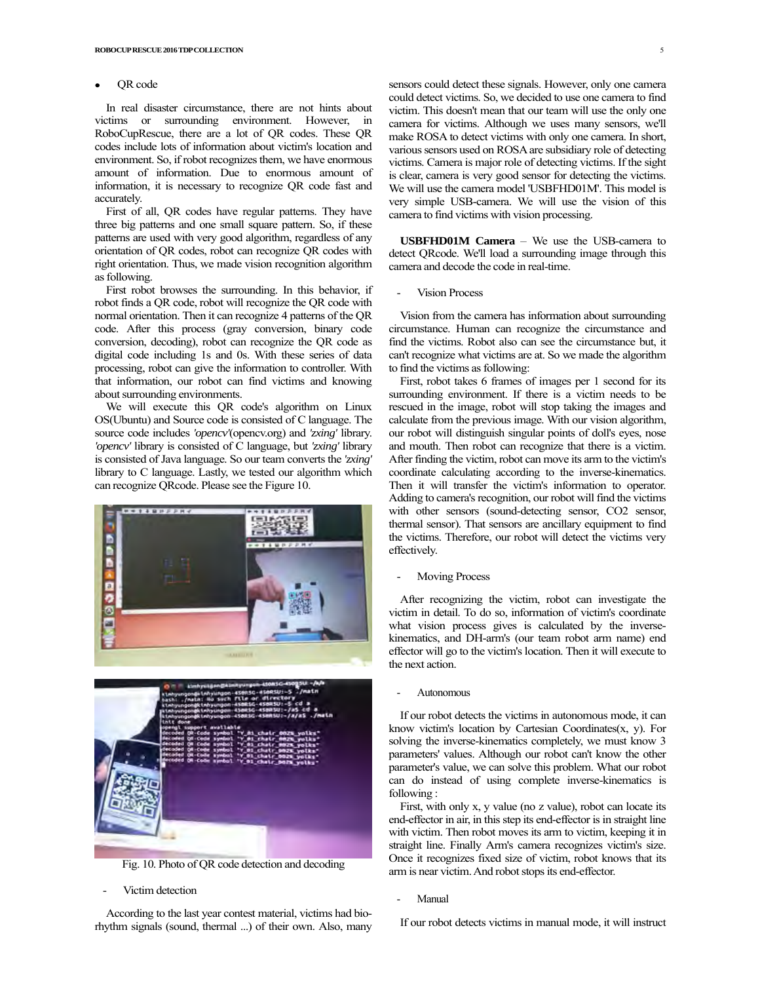#### QR code

In real disaster circumstance, there are not hints about victims or surrounding environment. However, in RoboCupRescue, there are a lot of QR codes. These QR codes include lots of information about victim's location and environment. So, if robot recognizes them, we have enormous amount of information. Due to enormous amount of information, it is necessary to recognize QR code fast and accurately.

First of all, QR codes have regular patterns. They have three big patterns and one small square pattern. So, if these patterns are used with very good algorithm, regardless of any orientation of QR codes, robot can recognize QR codes with right orientation. Thus, we made vision recognition algorithm as following.

First robot browses the surrounding. In this behavior, if robot finds a QR code, robot will recognize the QR code with normal orientation. Then it can recognize 4 patterns of the QR code. After this process (gray conversion, binary code conversion, decoding), robot can recognize the QR code as digital code including 1s and 0s. With these series of data processing, robot can give the information to controller. With that information, our robot can find victims and knowing about surrounding environments.

We will execute this QR code's algorithm on Linux OS(Ubuntu) and Source code is consisted of C language. The source code includes *'opencv'*(opencv.org) and *'zxing'* library. *'opencv'* library is consisted of C language, but *'zxing'* library is consisted of Java language. So our team converts the *'zxing'*  library to C language. Lastly, we tested our algorithm which can recognize QRcode. Please see the Figure 10.





Fig. 10. Photo of QR code detection and decoding

Victim detection

According to the last year contest material, victims had biorhythm signals (sound, thermal ...) of their own. Also, many sensors could detect these signals. However, only one camera could detect victims. So, we decided to use one camera to find victim. This doesn't mean that our team will use the only one camera for victims. Although we uses many sensors, we'll make ROSA to detect victims with only one camera. In short, various sensors used on ROSA are subsidiary role of detecting victims. Camera is major role of detecting victims. If the sight is clear, camera is very good sensor for detecting the victims. We will use the camera model 'USBFHD01M'. This model is very simple USB-camera. We will use the vision of this camera to find victims with vision processing.

**USBFHD01M Camera** – We use the USB-camera to detect QRcode. We'll load a surrounding image through this camera and decode the code in real-time.

Vision Process

Vision from the camera has information about surrounding circumstance. Human can recognize the circumstance and find the victims. Robot also can see the circumstance but, it can't recognize what victims are at. So we made the algorithm to find the victims as following:

First, robot takes 6 frames of images per 1 second for its surrounding environment. If there is a victim needs to be rescued in the image, robot will stop taking the images and calculate from the previous image. With our vision algorithm, our robot will distinguish singular points of doll's eyes, nose and mouth. Then robot can recognize that there is a victim. After finding the victim, robot can move its arm to the victim's coordinate calculating according to the inverse-kinematics. Then it will transfer the victim's information to operator. Adding to camera's recognition, our robot will find the victims with other sensors (sound-detecting sensor, CO2 sensor, thermal sensor). That sensors are ancillary equipment to find the victims. Therefore, our robot will detect the victims very effectively.

Moving Process

After recognizing the victim, robot can investigate the victim in detail. To do so, information of victim's coordinate what vision process gives is calculated by the inversekinematics, and DH-arm's (our team robot arm name) end effector will go to the victim's location. Then it will execute to the next action.

**Autonomous** 

If our robot detects the victims in autonomous mode, it can know victim's location by Cartesian Coordinates(x, y). For solving the inverse-kinematics completely, we must know 3 parameters' values. Although our robot can't know the other parameter's value, we can solve this problem. What our robot can do instead of using complete inverse-kinematics is following :

First, with only x, y value (no z value), robot can locate its end-effector in air, in this step its end-effector is in straight line with victim. Then robot moves its arm to victim, keeping it in straight line. Finally Arm's camera recognizes victim's size. Once it recognizes fixed size of victim, robot knows that its arm is near victim. And robot stops its end-effector.

**Manual** 

If our robot detects victims in manual mode, it will instruct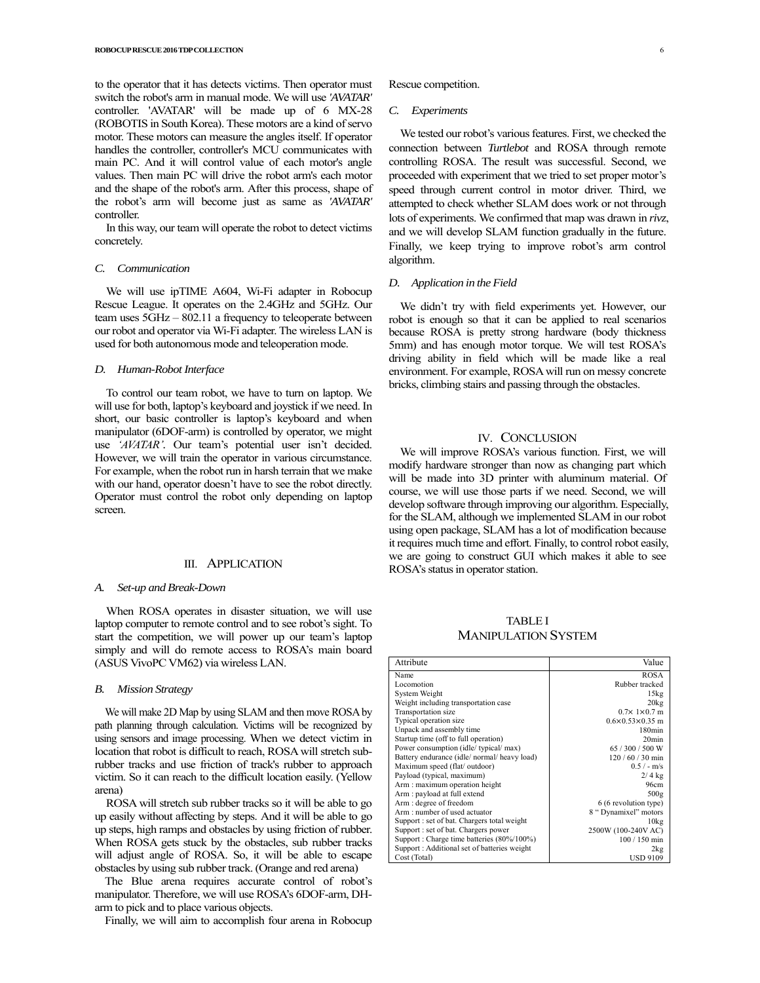to the operator that it has detects victims. Then operator must switch the robot's arm in manual mode. We will use *'AVATAR'*  controller. 'AVATAR' will be made up of 6 MX-28 (ROBOTIS in South Korea). These motors are a kind of servo motor. These motors can measure the angles itself. If operator handles the controller, controller's MCU communicates with main PC. And it will control value of each motor's angle values. Then main PC will drive the robot arm's each motor and the shape of the robot's arm. After this process, shape of the robot's arm will become just as same as *'AVATAR'* controller.

In this way, our team will operate the robot to detect victims concretely.

#### *C. Communication*

We will use ipTIME A604, Wi-Fi adapter in Robocup Rescue League. It operates on the 2.4GHz and 5GHz. Our team uses 5GHz – 802.11 a frequency to teleoperate between our robot and operator via Wi-Fi adapter. The wireless LAN is used for both autonomous mode and teleoperation mode.

#### *D. Human-Robot Interface*

To control our team robot, we have to turn on laptop. We will use for both, laptop's keyboard and joystick if we need. In short, our basic controller is laptop's keyboard and when manipulator (6DOF-arm) is controlled by operator, we might use *'AVATAR'.* Our team's potential user isn't decided. However, we will train the operator in various circumstance. For example, when the robot run in harsh terrain that we make with our hand, operator doesn't have to see the robot directly. Operator must control the robot only depending on laptop screen.

#### III. APPLICATION

#### *A. Set-up and Break-Down*

When ROSA operates in disaster situation, we will use laptop computer to remote control and to see robot's sight. To start the competition, we will power up our team's laptop simply and will do remote access to ROSA's main board (ASUS VivoPC VM62) via wireless LAN.

#### *B. Mission Strategy*

We will make 2D Map by using SLAM and then move ROSAby path planning through calculation. Victims will be recognized by using sensors and image processing. When we detect victim in location that robot is difficult to reach, ROSA will stretch subrubber tracks and use friction of track's rubber to approach victim. So it can reach to the difficult location easily. (Yellow arena)

ROSA will stretch sub rubber tracks so it will be able to go up easily without affecting by steps. And it will be able to go up steps, high ramps and obstacles by using friction of rubber. When ROSA gets stuck by the obstacles, sub rubber tracks will adjust angle of ROSA. So, it will be able to escape obstacles by using sub rubber track.(Orange and red arena)

The Blue arena requires accurate control of robot's manipulator. Therefore, we will use ROSA's 6DOF-arm, DHarm to pick and to place various objects.

Finally, we will aim to accomplish four arena in Robocup

Rescue competition.

#### *C. Experiments*

We tested our robot's various features. First, we checked the connection between *Turtlebot* and ROSA through remote controlling ROSA. The result was successful. Second, we proceeded with experiment that we tried to set proper motor's speed through current control in motor driver. Third, we attempted to check whether SLAM does work or not through lots of experiments. We confirmed that map was drawn in *rivz*, and we will develop SLAM function gradually in the future. Finally, we keep trying to improve robot's arm control algorithm.

#### *D. Application in the Field*

We didn't try with field experiments yet. However, our robot is enough so that it can be applied to real scenarios because ROSA is pretty strong hardware (body thickness 5mm) and has enough motor torque. We will test ROSA's driving ability in field which will be made like a real environment. For example, ROSA will run on messy concrete bricks, climbing stairs and passing through the obstacles.

## IV. CONCLUSION

We will improve ROSA's various function. First, we will modify hardware stronger than now as changing part which will be made into 3D printer with aluminum material. Of course, we will use those parts if we need. Second, we will develop software through improving our algorithm. Especially, for the SLAM, although we implemented SLAM in our robot using open package, SLAM has a lot of modification because it requires much time and effort. Finally, to control robot easily, we are going to construct GUI which makes it able to see ROSA's status in operator station.

TABLE I MANIPULATION SYSTEM

| Attribute                                   | Value                           |
|---------------------------------------------|---------------------------------|
| Name                                        | <b>ROSA</b>                     |
| Locomotion                                  | Rubber tracked                  |
| System Weight                               | 15kg                            |
| Weight including transportation case        | 20kg                            |
| Transportation size                         | $0.7 \times 1 \times 0.7$ m     |
| Typical operation size                      | $0.6 \times 0.53 \times 0.35$ m |
| Unpack and assembly time                    | 180min                          |
| Startup time (off to full operation)        | 20 <sub>min</sub>               |
| Power consumption (idle/typical/max)        | 65 / 300 / 500 W                |
| Battery endurance (idle/normal/heavy load)  | $120/60/30$ min                 |
| Maximum speed (flat/outdoor)                | $0.5/-$ m/s                     |
| Payload (typical, maximum)                  | $2/4$ kg                        |
| Arm: maximum operation height               | 96cm                            |
| Arm: payload at full extend                 | 500g                            |
| Arm : degree of freedom                     | 6 (6 revolution type)           |
| Arm: number of used actuator                | 8 "Dynamixel" motors            |
| Support : set of bat. Chargers total weight | 10 <sub>kg</sub>                |
| Support : set of bat. Chargers power        | 2500W (100-240V AC)             |
| Support: Charge time batteries (80%/100%)   | 100 / 150 min                   |
| Support: Additional set of batteries weight | 2kg                             |
| Cost (Total)                                | <b>USD 9109</b>                 |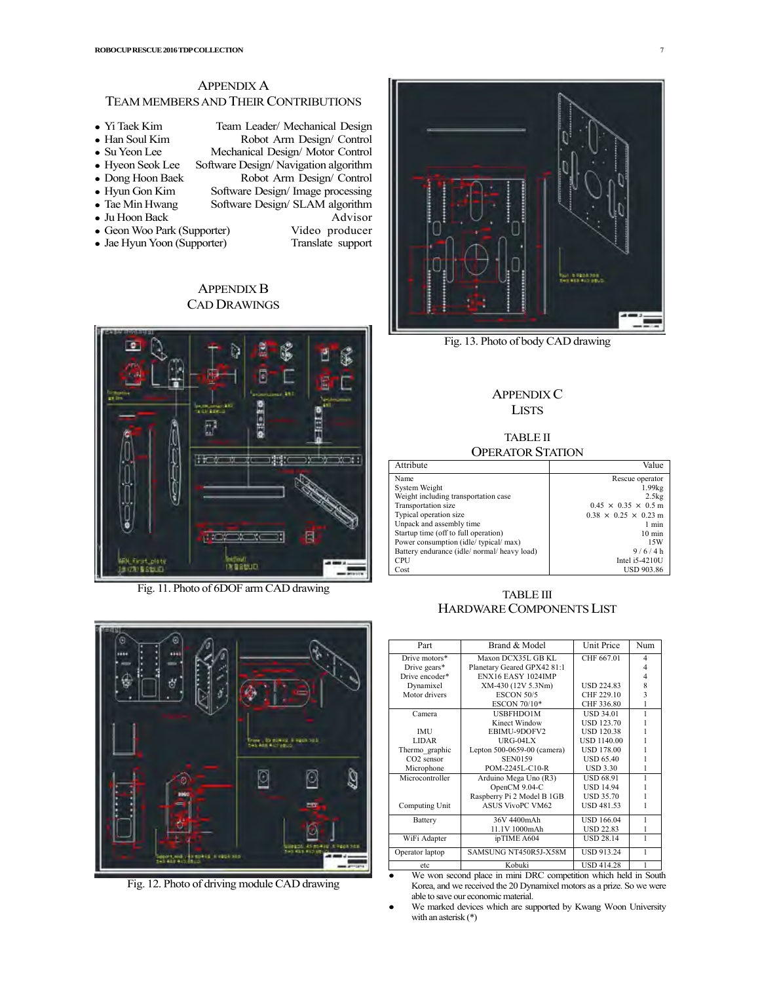# APPENDIX A TEAM MEMBERS AND THEIR CONTRIBUTIONS

• Yi Taek Kim Team Leader/ Mechanical Design<br>• Han Soul Kim Robot Arm Design/ Control • Han Soul Kim Robot Arm Design/ Control<br>• Su Yeon Lee Mechanical Design/ Motor Control • Su Yeon Lee Mechanical Design/ Motor Control<br>• Hyeon Seok Lee Software Design/ Navigation algorithm • Hyeon Seok Lee Software Design/ Navigation algorithm<br>• Dong Hoon Baek Robot Arm Design/ Control • Dong Hoon Baek Robot Arm Design/ Control<br>• Hyun Gon Kim Software Design/ Image processing • Hyun Gon Kim Software Design/ Image processing<br>• Tae Min Hwang Software Design/ SLAM algorithm Software Design/ SLAM algorithm • Ju Hoon Back Advisor <sup>z</sup> GeonWoo Park (Supporter) Video producer • Jae Hyun Yoon (Supporter) Translate support

> APPENDIX B CAD DRAWINGS



Fig. 11. Photo of 6DOF arm CAD drawing



Fig. 12. Photo of driving module CAD drawing



Fig. 13. Photo of body CAD drawing

# APPENDIX C **LISTS**

# TABLE II OPERATOR STATION

| Attribute                                  | Value                            |
|--------------------------------------------|----------------------------------|
| Name                                       | Rescue operator                  |
| System Weight                              | $1.99$ kg                        |
| Weight including transportation case       | 2.5kg                            |
| Transportation size                        | $0.45 \times 0.35 \times 0.5$ m  |
| Typical operation size                     | $0.38 \times 0.25 \times 0.23$ m |
| Unpack and assembly time                   | 1 min                            |
| Startup time (off to full operation)       | $10 \text{ min}$                 |
| Power consumption (idle/typical/max)       | 15W                              |
| Battery endurance (idle/normal/heavy load) | 9/6/4 h                          |
| <b>CPU</b>                                 | Intel i5-4210U                   |
| Cost                                       | <b>USD 903.86</b>                |

# TABLE III HARDWARE COMPONENTS LIST

| Part                   | Brand & Model               | Unit Price         | Num                     |
|------------------------|-----------------------------|--------------------|-------------------------|
| Drive motors*          | Maxon DCX35L GB KL          | CHF 667.01         | $\overline{4}$          |
| Drive gears*           | Planetary Geared GPX42 81:1 |                    | 4                       |
| Drive encoder*         | ENX16 EASY 1024IMP          |                    | 4                       |
| Dynamixel              | XM-430 (12V 5.3Nm)          | <b>USD 224.83</b>  | 8                       |
| Motor drivers          | <b>ESCON 50/5</b>           | CHF 229.10         | $\overline{\mathbf{3}}$ |
|                        | ESCON 70/10*                | CHF 336.80         | 1                       |
| Camera                 | USBFHDO1M                   | <b>USD 34.01</b>   | 1                       |
|                        | Kinect Window               | <b>USD 123.70</b>  |                         |
| <b>IMU</b>             | EBIMU-9DOFV2                | <b>USD 120.38</b>  |                         |
| <b>LIDAR</b>           | $URG-04LX$                  | <b>USD 1140.00</b> |                         |
| Thermo graphic         | Lepton 500-0659-00 (camera) | <b>USD 178.00</b>  |                         |
| CO <sub>2</sub> sensor | <b>SEN0159</b>              | <b>USD 65.40</b>   |                         |
| Microphone             | POM-2245L-C10-R             | <b>USD 3.30</b>    |                         |
| Microcontroller        | Arduino Mega Uno (R3)       | <b>USD 68.91</b>   |                         |
|                        | OpenCM 9.04-C               | <b>USD 14.94</b>   |                         |
|                        | Raspberry Pi 2 Model B 1GB  | <b>USD 35.70</b>   |                         |
| Computing Unit         | <b>ASUS VivoPC VM62</b>     | <b>USD 481.53</b>  |                         |
| Battery                | 36V 4400mAh                 | USD 166.04         | 1                       |
|                        | 11.1V 1000mAh               | <b>USD 22.83</b>   | 1                       |
| WiFi Adapter           | ipTIME A604                 | <b>USD 28.14</b>   | 1                       |
| Operator laptop        | SAMSUNG NT450R5J-X58M       | <b>USD 913.24</b>  | 1                       |
| etc                    | Kobuki                      | <b>USD 414.28</b>  | 1                       |

etc Kobuki USD 414.28 1<br>We won second place in mini DRC competition which held in South Korea, and we received the 20 Dynamixel motors as a prize. So we were able to save our economic material.

We marked devices which are supported by Kwang Woon University with an asterisk (\*)